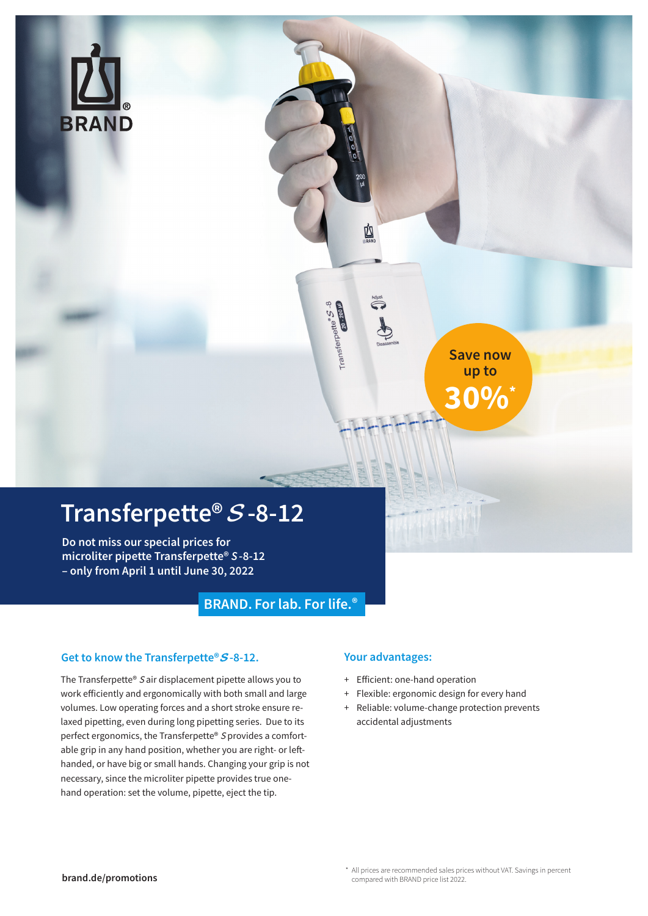

### **Transferpette®** S**-8-12**

**Do not miss our special prices for microliter pipette Transferpette®** *S***-8-12 – only from April 1 until June 30, 2022**

### **BRAND. Forlab. For life.®**

### **Get to know the Transferpette®**S**-8-12.**

The Transferpette® S air displacement pipette allows you to work efficiently and ergonomically with both small and large volumes. Low operating forces and a short stroke ensure relaxed pipetting, even during long pipetting series. Due to its perfect ergonomics, the Transferpette® S provides a comfortable grip in any hand position, whether you are right- or lefthanded, or have big or small hands. Changing your grip is not necessary, since the microliter pipette provides true onehand operation: set the volume, pipette, eject the tip.

### **Your advantages:**

図

Transferpette<sup>s</sup> S - 2<br>Transferpette

- + Efficient: one-hand operation
- + Flexible: ergonomic design for every hand
- + Reliable: volume-change protection prevents accidental adjustments

TAW

**Save now up to**

**30%\***